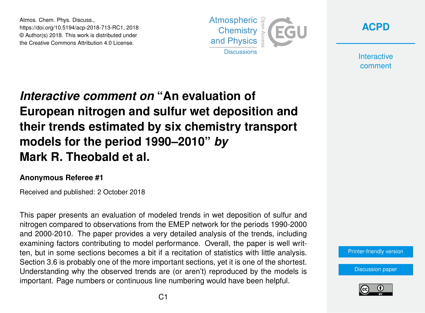Atmos. Chem. Phys. Discuss., https://doi.org/10.5194/acp-2018-713-RC1, 2018 © Author(s) 2018. This work is distributed under the Creative Commons Attribution 4.0 License.





**Interactive** comment

## *Interactive comment on* **"An evaluation of European nitrogen and sulfur wet deposition and their trends estimated by six chemistry transport models for the period 1990–2010"** *by* **Mark R. Theobald et al.**

## **Anonymous Referee #1**

Received and published: 2 October 2018

This paper presents an evaluation of modeled trends in wet deposition of sulfur and nitrogen compared to observations from the EMEP network for the periods 1990-2000 and 2000-2010. The paper provides a very detailed analysis of the trends, including examining factors contributing to model performance. Overall, the paper is well written, but in some sections becomes a bit if a recitation of statistics with little analysis. Section 3.6 is probably one of the more important sections, yet it is one of the shortest. Understanding why the observed trends are (or aren't) reproduced by the models is important. Page numbers or continuous line numbering would have been helpful.

[Printer-friendly version](https://www.atmos-chem-phys-discuss.net/acp-2018-713/acp-2018-713-RC1-print.pdf)

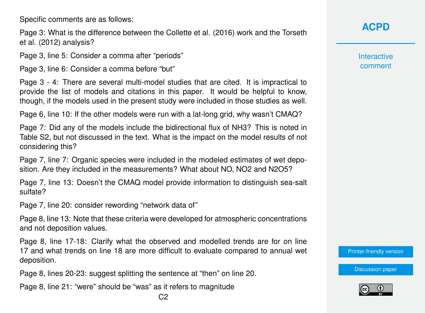Specific comments are as follows:

Page 3: What is the difference between the Collette et al. (2016) work and the Torseth et al. (2012) analysis?

Page 3, line 5: Consider a comma after "periods"

Page 3, line 6: Consider a comma before "but"

Page 3 - 4: There are several multi-model studies that are cited. It is impractical to provide the list of models and citations in this paper. It would be helpful to know, though, if the models used in the present study were included in those studies as well.

Page 6, line 10: If the other models were run with a lat-long grid, why wasn't CMAQ?

Page 7: Did any of the models include the bidirectional flux of NH3? This is noted in Table S2, but not discussed in the text. What is the impact on the model results of not considering this?

Page 7, line 7: Organic species were included in the modeled estimates of wet deposition. Are they included in the measurements? What about NO, NO2 and N2O5?

Page 7, line 13: Doesn't the CMAQ model provide information to distinguish sea-salt sulfate?

Page 7, line 20: consider rewording "network data of"

Page 8, line 13: Note that these criteria were developed for atmospheric concentrations and not deposition values.

Page 8, line 17-18: Clarify what the observed and modelled trends are for on line 17 and what trends on line 18 are more difficult to evaluate compared to annual wet deposition.

Page 8, lines 20-23: suggest splitting the sentence at "then" on line 20.

Page 8, line 21: "were" should be "was" as it refers to magnitude

**Interactive** comment

[Printer-friendly version](https://www.atmos-chem-phys-discuss.net/acp-2018-713/acp-2018-713-RC1-print.pdf)

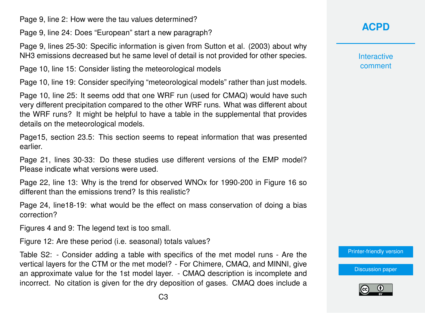Page 9, line 2: How were the tau values determined?

Page 9, line 24: Does "European" start a new paragraph?

Page 9, lines 25-30: Specific information is given from Sutton et al. (2003) about why NH3 emissions decreased but he same level of detail is not provided for other species.

Page 10, line 15: Consider listing the meteorological models

Page 10, line 19: Consider specifying "meteorological models" rather than just models.

Page 10, line 25: It seems odd that one WRF run (used for CMAQ) would have such very different precipitation compared to the other WRF runs. What was different about the WRF runs? It might be helpful to have a table in the supplemental that provides details on the meteorological models.

Page15, section 23.5: This section seems to repeat information that was presented earlier.

Page 21, lines 30-33: Do these studies use different versions of the EMP model? Please indicate what versions were used.

Page 22, line 13: Why is the trend for observed WNOx for 1990-200 in Figure 16 so different than the emissions trend? Is this realistic?

Page 24, line18-19: what would be the effect on mass conservation of doing a bias correction?

Figures 4 and 9: The legend text is too small.

Figure 12: Are these period (i.e. seasonal) totals values?

Table S2: - Consider adding a table with specifics of the met model runs - Are the vertical layers for the CTM or the met model? - For Chimere, CMAQ, and MINNI, give an approximate value for the 1st model layer. - CMAQ description is incomplete and incorrect. No citation is given for the dry deposition of gases. CMAQ does include a

## **[ACPD](https://www.atmos-chem-phys-discuss.net/)**

**Interactive** comment

[Printer-friendly version](https://www.atmos-chem-phys-discuss.net/acp-2018-713/acp-2018-713-RC1-print.pdf)